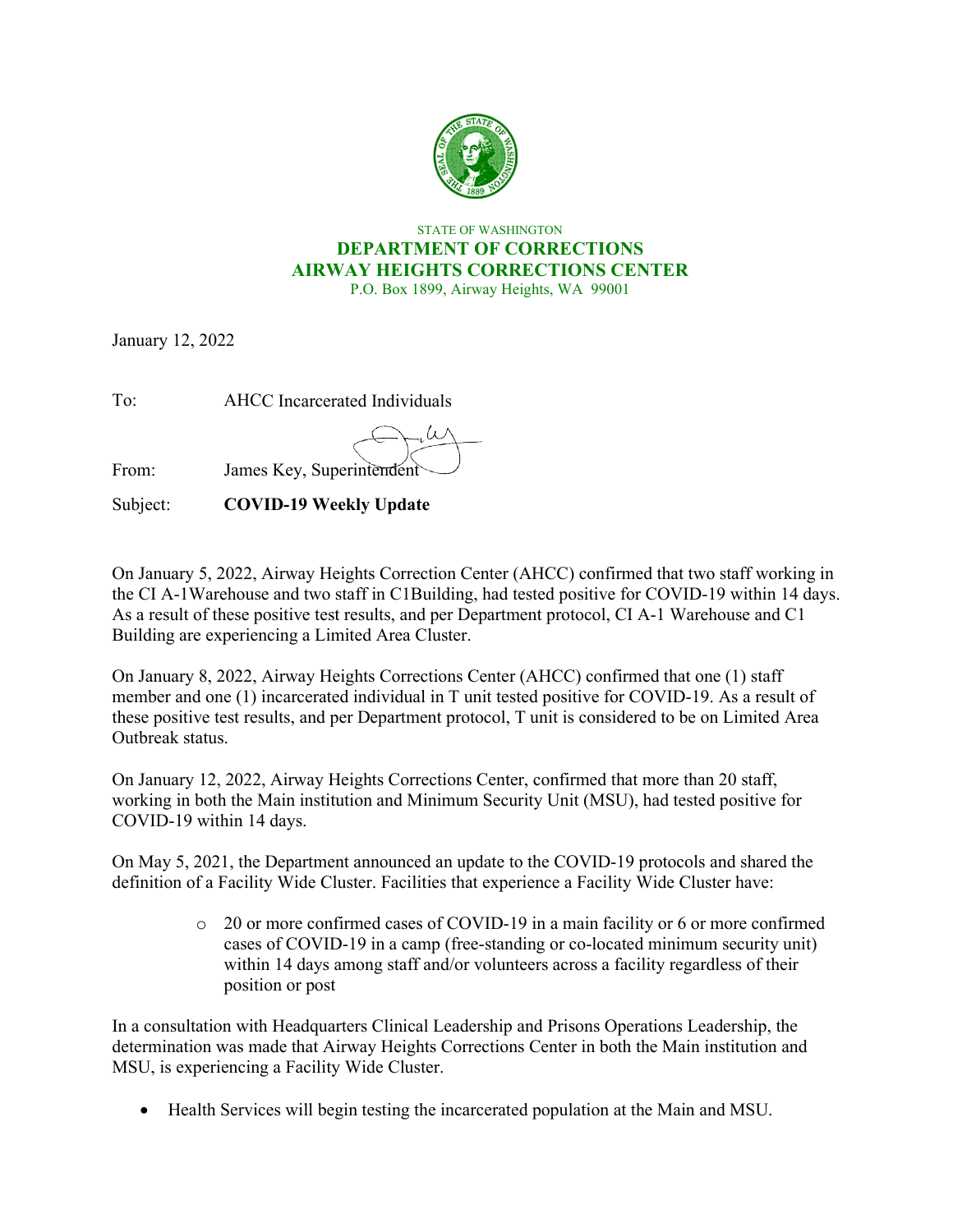

## STATE OF WASHINGTON **DEPARTMENT OF CORRECTIONS AIRWAY HEIGHTS CORRECTIONS CENTER**

P.O. Box 1899, Airway Heights, WA 99001

January 12, 2022

To: AHCC Incarcerated Individuals From: James Key, Superintendent

Subject: **COVID-19 Weekly Update** 

On January 5, 2022, Airway Heights Correction Center (AHCC) confirmed that two staff working in the CI A-1Warehouse and two staff in C1Building, had tested positive for COVID-19 within 14 days. As a result of these positive test results, and per Department protocol, CI A-1 Warehouse and C1 Building are experiencing a Limited Area Cluster.

On January 8, 2022, Airway Heights Corrections Center (AHCC) confirmed that one (1) staff member and one (1) incarcerated individual in T unit tested positive for COVID-19. As a result of these positive test results, and per Department protocol, T unit is considered to be on Limited Area Outbreak status.

On January 12, 2022, Airway Heights Corrections Center, confirmed that more than 20 staff, working in both the Main institution and Minimum Security Unit (MSU), had tested positive for COVID-19 within 14 days.

On May 5, 2021, the Department announced an update to the COVID-19 protocols and shared the definition of a Facility Wide Cluster. Facilities that experience a Facility Wide Cluster have:

> o 20 or more confirmed cases of COVID-19 in a main facility or 6 or more confirmed cases of COVID-19 in a camp (free-standing or co-located minimum security unit) within 14 days among staff and/or volunteers across a facility regardless of their position or post

In a consultation with Headquarters Clinical Leadership and Prisons Operations Leadership, the determination was made that Airway Heights Corrections Center in both the Main institution and MSU, is experiencing a Facility Wide Cluster.

• Health Services will begin testing the incarcerated population at the Main and MSU.